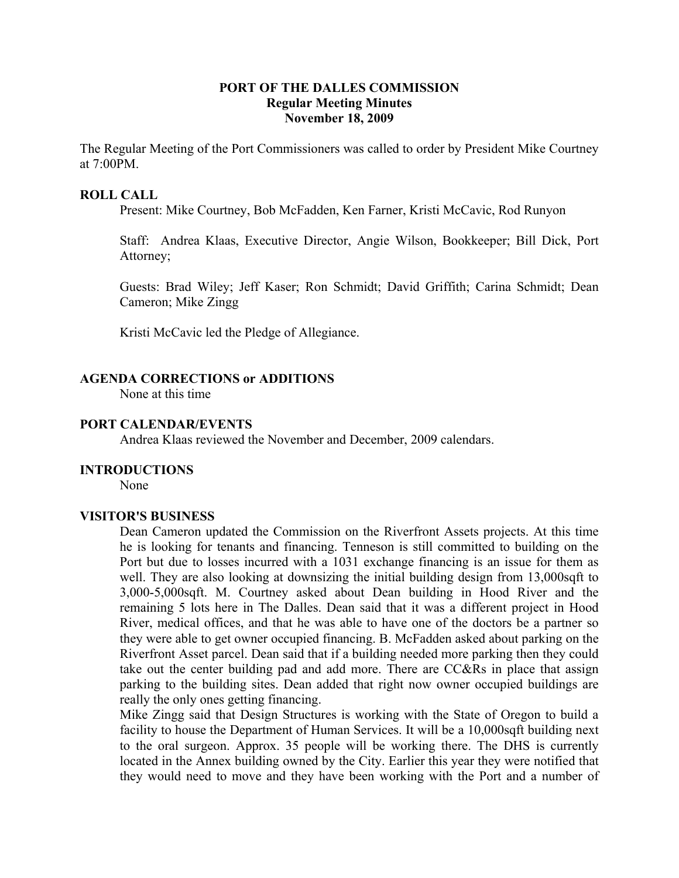## **PORT OF THE DALLES COMMISSION Regular Meeting Minutes November 18, 2009**

The Regular Meeting of the Port Commissioners was called to order by President Mike Courtney at 7:00PM.

#### **ROLL CALL**

Present: Mike Courtney, Bob McFadden, Ken Farner, Kristi McCavic, Rod Runyon

Staff: Andrea Klaas, Executive Director, Angie Wilson, Bookkeeper; Bill Dick, Port Attorney;

Guests: Brad Wiley; Jeff Kaser; Ron Schmidt; David Griffith; Carina Schmidt; Dean Cameron; Mike Zingg

Kristi McCavic led the Pledge of Allegiance.

## **AGENDA CORRECTIONS or ADDITIONS**

None at this time

#### **PORT CALENDAR/EVENTS**

Andrea Klaas reviewed the November and December, 2009 calendars.

#### **INTRODUCTIONS**

None

#### **VISITOR'S BUSINESS**

Dean Cameron updated the Commission on the Riverfront Assets projects. At this time he is looking for tenants and financing. Tenneson is still committed to building on the Port but due to losses incurred with a 1031 exchange financing is an issue for them as well. They are also looking at downsizing the initial building design from 13,000sqft to 3,000-5,000sqft. M. Courtney asked about Dean building in Hood River and the remaining 5 lots here in The Dalles. Dean said that it was a different project in Hood River, medical offices, and that he was able to have one of the doctors be a partner so they were able to get owner occupied financing. B. McFadden asked about parking on the Riverfront Asset parcel. Dean said that if a building needed more parking then they could take out the center building pad and add more. There are CC&Rs in place that assign parking to the building sites. Dean added that right now owner occupied buildings are really the only ones getting financing.

Mike Zingg said that Design Structures is working with the State of Oregon to build a facility to house the Department of Human Services. It will be a 10,000sqft building next to the oral surgeon. Approx. 35 people will be working there. The DHS is currently located in the Annex building owned by the City. Earlier this year they were notified that they would need to move and they have been working with the Port and a number of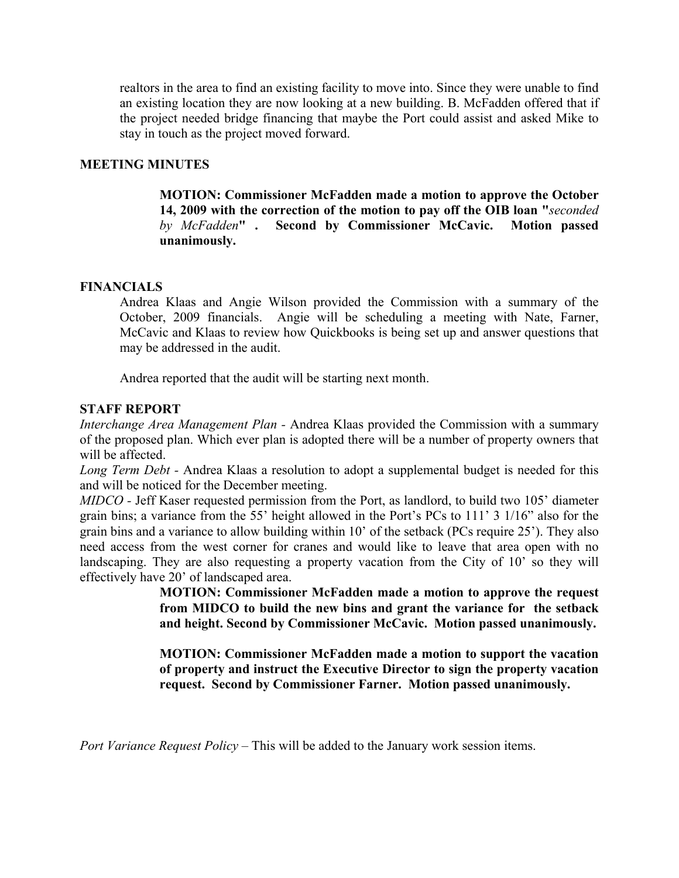realtors in the area to find an existing facility to move into. Since they were unable to find an existing location they are now looking at a new building. B. McFadden offered that if the project needed bridge financing that maybe the Port could assist and asked Mike to stay in touch as the project moved forward.

## **MEETING MINUTES**

**MOTION: Commissioner McFadden made a motion to approve the October 14, 2009 with the correction of the motion to pay off the OIB loan "***seconded by McFadden***" . Second by Commissioner McCavic. Motion passed unanimously.** 

## **FINANCIALS**

Andrea Klaas and Angie Wilson provided the Commission with a summary of the October, 2009 financials. Angie will be scheduling a meeting with Nate, Farner, McCavic and Klaas to review how Quickbooks is being set up and answer questions that may be addressed in the audit.

Andrea reported that the audit will be starting next month.

## **STAFF REPORT**

*Interchange Area Management Plan -* Andrea Klaas provided the Commission with a summary of the proposed plan. Which ever plan is adopted there will be a number of property owners that will be affected.

*Long Term Debt -* Andrea Klaas a resolution to adopt a supplemental budget is needed for this and will be noticed for the December meeting.

*MIDCO -* Jeff Kaser requested permission from the Port, as landlord, to build two 105' diameter grain bins; a variance from the 55' height allowed in the Port's PCs to 111' 3 1/16" also for the grain bins and a variance to allow building within 10' of the setback (PCs require 25'). They also need access from the west corner for cranes and would like to leave that area open with no landscaping. They are also requesting a property vacation from the City of 10' so they will effectively have 20' of landscaped area.

> **MOTION: Commissioner McFadden made a motion to approve the request from MIDCO to build the new bins and grant the variance for the setback and height. Second by Commissioner McCavic. Motion passed unanimously.**

> **MOTION: Commissioner McFadden made a motion to support the vacation of property and instruct the Executive Director to sign the property vacation request. Second by Commissioner Farner. Motion passed unanimously.**

*Port Variance Request Policy* – This will be added to the January work session items.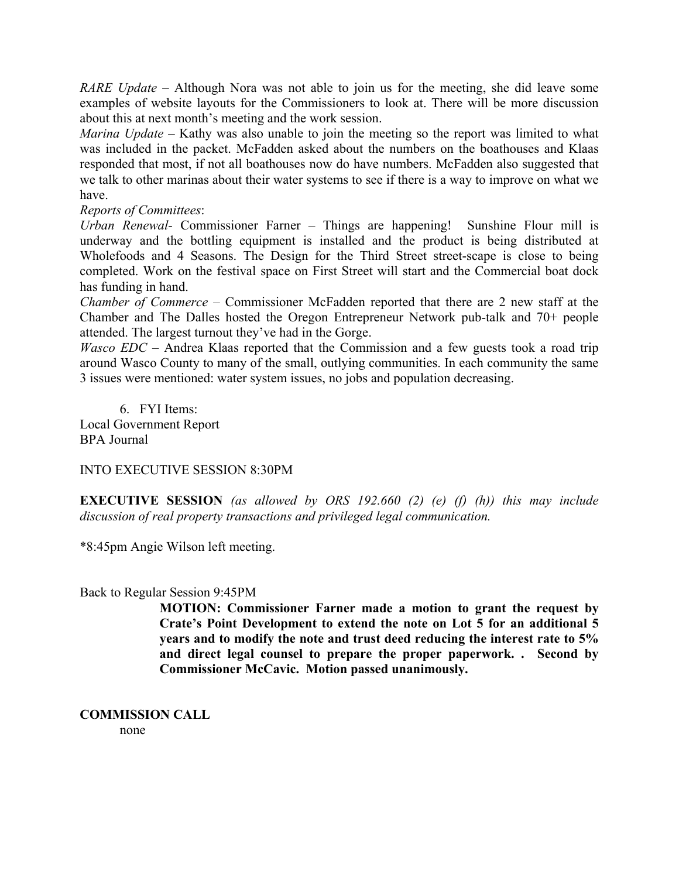*RARE Update –* Although Nora was not able to join us for the meeting, she did leave some examples of website layouts for the Commissioners to look at. There will be more discussion about this at next month's meeting and the work session.

*Marina Update –* Kathy was also unable to join the meeting so the report was limited to what was included in the packet. McFadden asked about the numbers on the boathouses and Klaas responded that most, if not all boathouses now do have numbers. McFadden also suggested that we talk to other marinas about their water systems to see if there is a way to improve on what we have.

*Reports of Committees*:

*Urban Renewal-* Commissioner Farner – Things are happening! Sunshine Flour mill is underway and the bottling equipment is installed and the product is being distributed at Wholefoods and 4 Seasons. The Design for the Third Street street-scape is close to being completed. Work on the festival space on First Street will start and the Commercial boat dock has funding in hand.

*Chamber of Commerce* – Commissioner McFadden reported that there are 2 new staff at the Chamber and The Dalles hosted the Oregon Entrepreneur Network pub-talk and 70+ people attended. The largest turnout they've had in the Gorge.

*Wasco EDC* – Andrea Klaas reported that the Commission and a few guests took a road trip around Wasco County to many of the small, outlying communities. In each community the same 3 issues were mentioned: water system issues, no jobs and population decreasing.

6. FYI Items: Local Government Report BPA Journal

## INTO EXECUTIVE SESSION 8:30PM

**EXECUTIVE SESSION** *(as allowed by ORS 192.660 (2) (e) (f) (h)) this may include discussion of real property transactions and privileged legal communication.*

\*8:45pm Angie Wilson left meeting.

## Back to Regular Session 9:45PM

**MOTION: Commissioner Farner made a motion to grant the request by Crate's Point Development to extend the note on Lot 5 for an additional 5 years and to modify the note and trust deed reducing the interest rate to 5% and direct legal counsel to prepare the proper paperwork. . Second by Commissioner McCavic. Motion passed unanimously.** 

**COMMISSION CALL** 

none